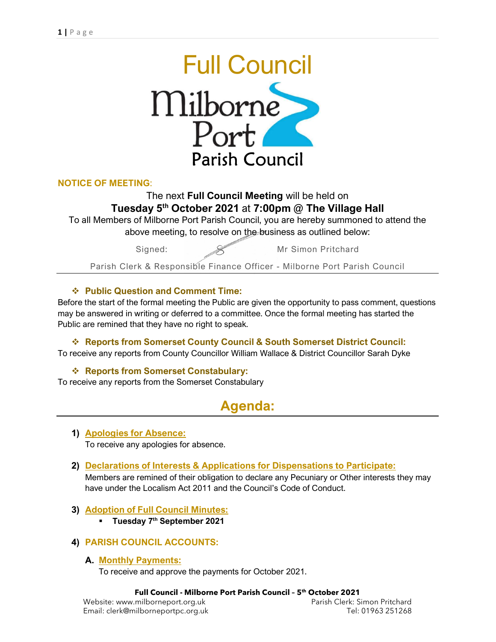

# NOTICE OF MEETING:

The next Full Council Meeting will be held on Tuesday  $5<sup>th</sup>$  October 2021 at 7:00pm  $@$  The Village Hall

To all Members of Milborne Port Parish Council, you are hereby summoned to attend the above meeting, to resolve on the business as outlined below:

Signed: Wr Simon Pritchard

Parish Clerk & Responsible Finance Officer - Milborne Port Parish Council

## Public Question and Comment Time:

Before the start of the formal meeting the Public are given the opportunity to pass comment, questions may be answered in writing or deferred to a committee. Once the formal meeting has started the Public are remined that they have no right to speak.

 Reports from Somerset County Council & South Somerset District Council: To receive any reports from County Councillor William Wallace & District Councillor Sarah Dyke

# ❖ Reports from Somerset Constabulary:

To receive any reports from the Somerset Constabulary

# Agenda:

## 1) Apologies for Absence: To receive any apologies for absence.

- 2) Declarations of Interests & Applications for Dispensations to Participate: Members are remined of their obligation to declare any Pecuniary or Other interests they may have under the Localism Act 2011 and the Council's Code of Conduct.
- 3) Adoption of Full Council Minutes:
	- **Tuesday 7<sup>th</sup> September 2021**

# 4) PARISH COUNCIL ACCOUNTS:

## A. Monthly Payments:

To receive and approve the payments for October 2021.

#### Full Council - Milborne Port Parish Council – 5th October 2021

Email: clerk@milborneportpc.org.uk Tel: 01963 251268